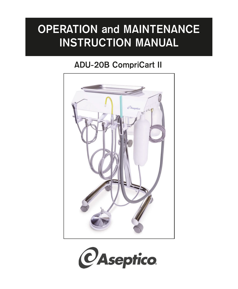# **OPERATION and MAINTENANCE INSTRUCTION MANUAL**

## **ADU-20B CompriCart II**



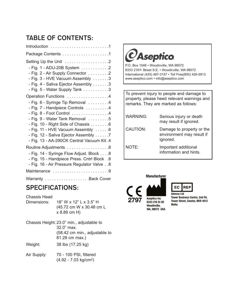## **TABLE OF CONTENTS:**

| $Introduction \dots \dots \dots \dots \dots \dots \dots \dots \dots \dots$                                                                                                                                                                                                                                                     |
|--------------------------------------------------------------------------------------------------------------------------------------------------------------------------------------------------------------------------------------------------------------------------------------------------------------------------------|
|                                                                                                                                                                                                                                                                                                                                |
| Setting Up the Unit 2<br>- Fig. 1 - ADU-20B System 2<br>- Fig. 2 - Air Supply Connector 2<br>- Fig. 3 - HVE Vacuum Assembly 3<br>- Fig. 4 - Saliva Ejector Assembly 3<br>- Fig. 5 - Water Supply Tank 3                                                                                                                        |
| Operation Functions 4<br>- Fig. 6 - Syringe Tip Removal 4<br>- Fig. 7 - Handpiece Controls 4<br>- Fig. 8 - Foot Control 4<br>- Fig. 9 - Water Tank Removal 5<br>- Fig. 10 - Right Side of Chassis 6<br>- Fig. 11 - HVE Vacuum Assembly 6<br>- Fig. 12 - Saliva Ejector Assembly 7<br>- Fig. 13 - AA-290CK Central Vacuum Kit.4 |
| Routine Adjustments 8<br>- Fig. 14 - Syringe Flow Adjust. Block 8<br>- Fig. 15 - Handpiece Press. Cntrl Block .8<br>- Fig. 16 - Air Pressure Regulator Valve 8                                                                                                                                                                 |
| Maintenance 9                                                                                                                                                                                                                                                                                                                  |
| Warranty Back Cover                                                                                                                                                                                                                                                                                                            |

## **SPECIFICATIONS:**

Chassis Head

Dimensions: 18" W x 12" L x 3.5" H (45.72 cm W x 30.48 cm L x 8.89 cm H)

Chassis Height: 23.0" min., adjustable to 32.0" max. (58.42 cm min., adjustable to 81.28 cm max.)

Weight: 38 lbs (17.25 kg)

Air Supply: 70 - 100 PSI, filtered (4.92 - 7.03 kg/cm2)



To prevent injury to people and damage to property, please heed relevant warnings and remarks. They are marked as follows:

| WARNING: | Serious injury or death<br>may result if ignored.                  |
|----------|--------------------------------------------------------------------|
| CAUTION: | Damage to property or the<br>environment may result if<br>ignored. |
| NOTE:    | Important additional<br>information and hints.                     |

**Manufacturer** 





**Tower Business Centre, 2nd Flr,** Tower Street, Swatar, BKR 4013 **Malta**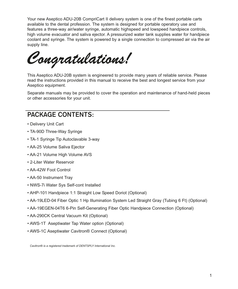Your new Aseptico ADU-20B CompriCart II delivery system is one of the finest portable carts available to the dental profession. The system is designed for portable operatory use and features a three-way air/water syringe, automatic highspeed and lowspeed handpiece controls, high volume evacuator and saliva ejector. A pressurized water tank supplies water for handpiece coolant and syringe. The system is powered by a single connection to compressed air via the air supply line.

*Congratulations!*

This Aseptico ADU-20B system is engineered to provide many years of reliable service. Please read the instructions provided in this manual to receive the best and longest service from your Aseptico equipment.

Separate manuals may be provided to cover the operation and maintenance of hand-held pieces or other accessories for your unit.

## **PACKAGE CONTENTS:**

- Delivery Unit Cart
- TA-90D Three-Way Syringe
- TA-1 Syringe Tip Autoclavable 3-way
- AA-25 Volume Saliva Ejector
- AA-21 Volume High Volume AVS
- 2-Liter Water Reservoir
- AA-42W Foot Control
- AA-50 Instrument Tray
- NWS-7i Water Sys Self-cont Installed
- AHP-101 Handpiece 1:1 Straight Low Speed Doriot (Optional)
- AA-19LED-04 Fiber Optic 1 Hp Illumination System Led Straight Gray (Tubing 6 Ft) (Optional)
- AA-19EGEN-04T6 6-Pin Self-Generating Fiber Optic Handpiece Connection (Optional)
- AA-290CK Central Vacuum Kit (Optional)
- AWS-1T Aseptiwater Tap Water option (Optional)
- AWS-1C Aseptiwater Cavitron® Connect (Optional)

*Cavitron® is a registered trademark of DENTSPLY International Inc.*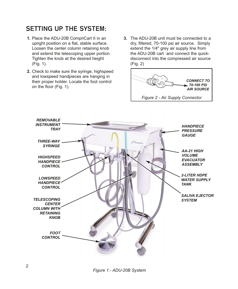## **SETTING UP THE SYSTEM:**

- **1.** Place the ADU-20B CompriCart II in an upright position on a flat, stable surface. Loosen the center column retaining knob and extend the telescoping upper portion. Tighten the knob at the desired height (Fig. 1).
- **2.** Check to make sure the syringe, highspeed and lowspeed handpieces are hanging in their proper holder. Locate the foot control on the floor (Fig. 1).
- **3.** The ADU-20B unit must be connected to a dry, filtered, 70-100 psi air source. Simply extend the 1/4" grey air supply line from the ADU-20B cart and connect the quickdisconnect into the compressed air source (Fig. 2)





*Figure 1.- ADU-20B System*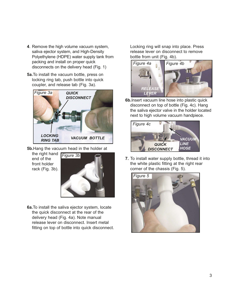- **4**. Remove the high volume vacuum system, saliva ejector system, and High-Density Polyethylene (HDPE) water supply tank from packing and install on proper quick disconnects on the delivery head (Fig. 1)
- **5a.**To install the vacuum bottle, press on locking ring tab, push bottle into quick coupler, and release tab (Fig. 3a).



**5b.**Hang the vacuum head in the holder at

the right hand | end of the front holder rack (Fig. 3b).



**6a.**To install the saliva ejector system, locate the quick disconnect at the rear of the delivery head (Fig. 4a). Note manual release lever on disconnect. Insert metal fitting on top of bottle into quick disconnect. Locking ring will snap into place. Press release lever on disconnect to remove bottle from unit (Fig. 4b).



**6b.**Insert vacuum line hose into plastic quick disconnect on top of bottle (Fig. 4c). Hang the saliva ejector valve in the holder located next to high volume vacuum handpiece.



**7.** To install water supply bottle, thread it into the white plastic fitting at the right rear corner of the chassis (Fig. 5).

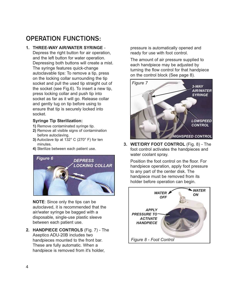## **OPERATION FUNCTIONS:**

#### **1. THREE-WAY AIR/WATER SYRINGE** -

Depress the right button for air operation, and the left button for water operation. Depressing both buttons will create a mist. The syringe features quick-change autoclavable tips: To remove a tip, press on the locking collar surrounding the tip socket and pull the used tip straight out of the socket (see Fig.6). To insert a new tip, press locking collar and push tip into socket as far as it will go. Release collar and gently tug on tip before using to ensure that tip is securely locked into socket.

#### **Syringe Tip Sterilization:**

- **1)** Remove contaminated syringe tip.
- **2)** Remove all visible signs of contamination before autoclaving.
- **3)** Autoclave tip at 132° C (270° F) for ten minutes.
- **4)** Sterilize between each patient use.



**NOTE**: Since only the tips can be autoclaved, it is recommended that the air/water syringe be bagged with a disposable, single-use plastic sleeve between each patient use.

**2. HANDPIECE CONTROLS** (Fig. 7) - The Aseptico ADU-20B includes two handpieces mounted to the front bar. These are fully automatic. When a handpiece is removed from it's holder,

pressure is automatically opened and ready for use with foot control.

The amount of air pressure supplied to each handpiece may be adjusted by turning the flow control for that handpiece on the control block (See page 8).



**3. WET/DRY FOOT CONTROL** (Fig. 8) - The foot control activates the handpieces and water coolant spray.

Position the foot control on the floor. For handpiece operation, apply foot pressure to any part of the center disk. The handpiece must be removed from its holder before operation can begin.

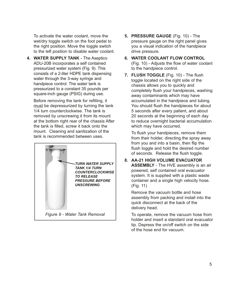To activate the water coolant, move the wet/dry toggle switch on the foot pedal to the right position. Move the toggle switch to the left position to disable water coolant.

**4. WATER SUPPLY TANK** - The Aseptico ADU-20B incorporates a self contained pressurized water system (Fig. 9). This consists of a 2-liter HDPE tank dispensing water through the 3-way syringe and handpiece control. The water tank is pressurized to a constant 35 pounds per square-inch gauge (PSIG) during use.

Before removing the tank for refilling, it must be depressurized by turning the tank 1/4 turn counterclockwise. The tank is removed by unscrewing it from its mount at the bottom right rear of the chassis After the tank is filled, screw it back onto the mount. Cleaning and sanitization of the tank is recommended between uses.



- **5. PRESSURE GAUGE** (Fig. 10) The pressure gauge on the right panel gives you a visual indication of the handpiece drive pressure.
- **6. WATER COOLANT FLOW CONTROL** (Fig. 10) - Adjusts the flow of water coolant to the handpiece control.
- **7. FLUSH TOGGLE** (Fig. 10) The flush toggle located on the right side of the chassis allows you to quickly and completely flush your handpieces, washing away contaminants which may have accumulated in the handpiece and tubing. You should flush the handpieces for about 5 seconds after every patient, and about 20 seconds at the beginning of each day to reduce overnight bacterial accumulation which may have occurred.

To flush your handpieces, remove them from their holder, directing the spray away from you and into a basin, then flip the flush toggle and hold the desired number of seconds. Release the flush toggle.

**8. AA-21 HIGH VOLUME EVACUATOR ASSEMBLY** - The HVE assembly is an air powered, self contained oral evacuator system. It is supplied with a plastic waste container and a single high velocity hose. (Fig. 11)

Remove the vacuum bottle and hose assembly from packing and install into the quick disconnect at the back of the delivery head.

To operate, remove the vacuum hose from holder and insert a standard oral evacuator tip. Depress the on/off switch on the side of the hose end for vacuum.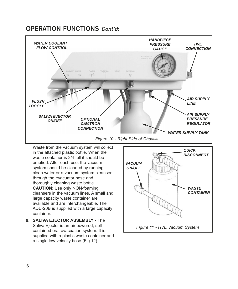#### **OPERATION FUNCTIONS Cont'd:**



Waste from the vacuum system will collect in the attached plastic bottle. When the waste container is 3/4 full it should be emptied. After each use, the vacuum system should be cleaned by running clean water or a vacuum system cleanser through the evacuator hose and thoroughly cleaning waste bottle. **CAUTION**: Use only NON-foaming cleansers in the vacuum lines. A small and large capacity waste container are available and are interchangeable. The ADU-20B is supplied with a large capacity container.

**9. SALIVA EJECTOR ASSEMBLY -** The Saliva Ejector is an air powered, self contained oral evacuation system. It is supplied with a plastic waste container and a single low velocity hose (Fig.12).

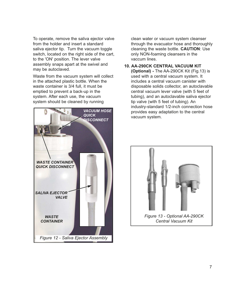To operate, remove the saliva ejector valve from the holder and insert a standard saliva ejector tip. Turn the vacuum toggle switch, located on the right side of the cart, to the 'ON' position. The lever valve assembly snaps apart at the swivel and may be autoclaved.

Waste from the vacuum system will collect in the attached plastic bottle. When the waste container is 3/4 full, it must be emptied to prevent a back-up in the system. After each use, the vacuum system should be cleaned by running



clean water or vacuum system cleanser through the evacuator hose and thoroughly cleaning the waste bottle. **CAUTION**: Use only NON-foaming cleansers in the vaccum lines.

#### **10. AA-290CK CENTRAL VACUUM KIT**

**(Optional) -** The AA-290CK Kit (Fig.13) is used with a central vacuum system. It includes a central vacuum canister with disposable solids collector, an autoclavable central vacuum lever valve (with 5 feet of tubing), and an autoclavable saliva ejector tip valve (with 5 feet of tubing). An industry-standard 1/2-inch connection hose provides easy adaptation to the central vacuum system.

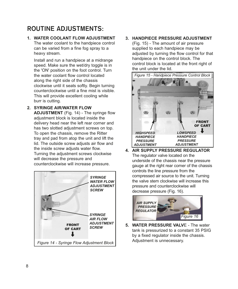## **ROUTINE ADJUSTMENTS:**

#### **1. WATER COOLANT FLOW ADJUSTMENT** The water coolant to the handpiece control can be varied from a fine fog spray to a heavy stream.

Install and run a handpiece at a midrange speed. Make sure the wet/dry toggle is in the 'ON' position on the foot control. Turn the water coolant flow control located along the right side of the chassis clockwise until it seats softly. Begin turning counterclockwise until a fine mist is visible. This will provide excellent cooling while burr is cutting.

**2. SYRINGE AIR/WATER FLOW ADJUSTMENT** (Fig. 14) - The syringe flow adjustment block is located inside the delivery head near the left rear corner and has two slotted adjustment screws on top. To open the chassis, remove the Ritter tray and pad from atop the unit and lift the lid. The outside screw adjusts air flow and the inside screw adjusts water flow. Turning the adjustment screws clockwise will decrease the pressure and counterclockwise will increase pressure.



#### **3. HANDPIECE PRESSURE ADJUSTMENT**

(Fig. 15) - The amount of air pressure supplied to each handpiece may be adjusted by turning the flow control for that handpiece on the control block. The control block is located at the front right of the unit under the lid.



**4. AIR SUPPLY PRESSURE REGULATOR** The regulator valve located on the underside of the chassis near the pressure gauge at the right rear corner of the chassis controls the line pressure from the compressed air source to the unit. Turning the valve stem clockwise will increase this pressure and counterclockwise will decrease pressure (Fig. 16).



**5. WATER PRESSURE VALVE - The water** tank is pressurized to a constant 35 PSIG by a fixed regulator inside the chassis.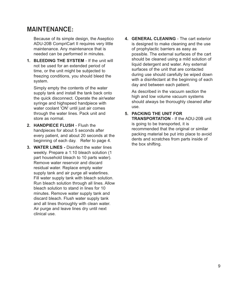#### **MAINTENANCE:**

Because of its simple design, the Aseptico ADU-20B CompriCart II requires very little maintenance. Any maintenance that is needed can be performed in minutes.

**1. BLEEDING THE SYSTEM** - If the unit will not be used for an extended period of time, or the unit might be subjected to freezing conditions, you should bleed the system.

Simply empty the contents of the water supply tank and install the tank back onto the quick disconnect. Operate the air/water syringe and highspeed handpiece with water coolant 'ON' until just air comes through the water lines. Pack unit and store as normal.

- **2. HANDPIECE FLUSH** Flush the handpieces for about 5 seconds after every patient, and about 20 seconds at the beginning of each day. Refer to page 4.
- **3. WATER LINES -** Disinfect the water lines weekly. Prepare a 1:10 bleach solution (1 part household bleach to 10 parts water). Remove water reservoir and discard residual water. Replace empty water supply tank and air purge all waterlines. Fill water supply tank with bleach solution. Run bleach solution through all lines. Allow bleach solution to stand in lines for 10 minutes. Remove water supply tank and discard bleach. Flush water supply tank and all lines thoroughly with clean water. Air purge and leave lines dry until next clinical use.

**4. GENERAL CLEANING** - The cart exterior is designed to make cleaning and the use of prophylactic barriers as easy as possible. The external surfaces of the cart should be cleaned using a mild solution of liquid detergent and water. Any external surfaces of the unit that are contacted during use should carefully be wiped down with a disinfectant at the beginning of each day and between each patient.

As described in the vacuum section the high and low volume vacuum systems should always be thoroughly cleaned after use.

#### **5. PACKING THE UNIT FOR**

**TRANSPORTATION** - If the ADU-20B unit is going to be transported, it is recommended that the original or similar packing material be put into place to avoid dents and scratches from parts inside of the box shifting.